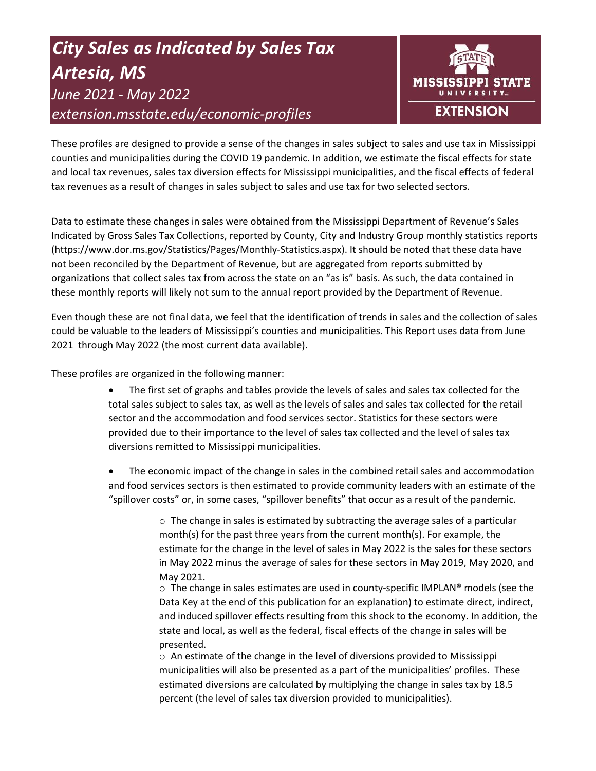# *City Sales as Indicated by Sales Tax Artesia, MS June 2021 - May 2022 extension.msstate.edu/economic-profiles*



These profiles are designed to provide a sense of the changes in sales subject to sales and use tax in Mississippi counties and municipalities during the COVID 19 pandemic. In addition, we estimate the fiscal effects for state and local tax revenues, sales tax diversion effects for Mississippi municipalities, and the fiscal effects of federal tax revenues as a result of changes in sales subject to sales and use tax for two selected sectors.

Data to estimate these changes in sales were obtained from the Mississippi Department of Revenue's Sales Indicated by Gross Sales Tax Collections, reported by County, City and Industry Group monthly statistics reports (https://www.dor.ms.gov/Statistics/Pages/Monthly-Statistics.aspx). It should be noted that these data have not been reconciled by the Department of Revenue, but are aggregated from reports submitted by organizations that collect sales tax from across the state on an "as is" basis. As such, the data contained in these monthly reports will likely not sum to the annual report provided by the Department of Revenue.

Even though these are not final data, we feel that the identification of trends in sales and the collection of sales could be valuable to the leaders of Mississippi's counties and municipalities. This Report uses data from June 2021 through May 2022 (the most current data available).

These profiles are organized in the following manner:

- The first set of graphs and tables provide the levels of sales and sales tax collected for the total sales subject to sales tax, as well as the levels of sales and sales tax collected for the retail sector and the accommodation and food services sector. Statistics for these sectors were provided due to their importance to the level of sales tax collected and the level of sales tax diversions remitted to Mississippi municipalities.
- The economic impact of the change in sales in the combined retail sales and accommodation and food services sectors is then estimated to provide community leaders with an estimate of the "spillover costs" or, in some cases, "spillover benefits" that occur as a result of the pandemic.

 $\circ$  The change in sales is estimated by subtracting the average sales of a particular month(s) for the past three years from the current month(s). For example, the estimate for the change in the level of sales in May 2022 is the sales for these sectors in May 2022 minus the average of sales for these sectors in May 2019, May 2020, and May 2021.

 $\circ$  The change in sales estimates are used in county-specific IMPLAN® models (see the Data Key at the end of this publication for an explanation) to estimate direct, indirect, and induced spillover effects resulting from this shock to the economy. In addition, the state and local, as well as the federal, fiscal effects of the change in sales will be presented.

 $\circ$  An estimate of the change in the level of diversions provided to Mississippi municipalities will also be presented as a part of the municipalities' profiles. These estimated diversions are calculated by multiplying the change in sales tax by 18.5 percent (the level of sales tax diversion provided to municipalities).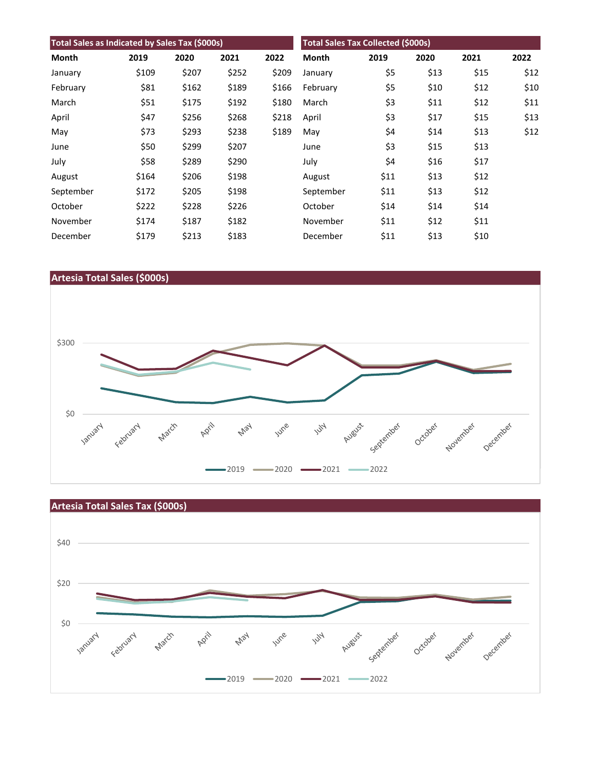| Total Sales as Indicated by Sales Tax (\$000s) |       |       |       | <b>Total Sales Tax Collected (\$000s)</b> |           |      |      |      |      |
|------------------------------------------------|-------|-------|-------|-------------------------------------------|-----------|------|------|------|------|
| Month                                          | 2019  | 2020  | 2021  | 2022                                      | Month     | 2019 | 2020 | 2021 | 2022 |
| January                                        | \$109 | \$207 | \$252 | \$209                                     | January   | \$5  | \$13 | \$15 | \$12 |
| February                                       | \$81  | \$162 | \$189 | \$166                                     | February  | \$5  | \$10 | \$12 | \$10 |
| March                                          | \$51  | \$175 | \$192 | \$180                                     | March     | \$3  | \$11 | \$12 | \$11 |
| April                                          | \$47  | \$256 | \$268 | \$218                                     | April     | \$3  | \$17 | \$15 | \$13 |
| May                                            | \$73  | \$293 | \$238 | \$189                                     | May       | \$4  | \$14 | \$13 | \$12 |
| June                                           | \$50  | \$299 | \$207 |                                           | June      | \$3  | \$15 | \$13 |      |
| July                                           | \$58  | \$289 | \$290 |                                           | July      | \$4  | \$16 | \$17 |      |
| August                                         | \$164 | \$206 | \$198 |                                           | August    | \$11 | \$13 | \$12 |      |
| September                                      | \$172 | \$205 | \$198 |                                           | September | \$11 | \$13 | \$12 |      |
| October                                        | \$222 | \$228 | \$226 |                                           | October   | \$14 | \$14 | \$14 |      |
| November                                       | \$174 | \$187 | \$182 |                                           | November  | \$11 | \$12 | \$11 |      |
| December                                       | \$179 | \$213 | \$183 |                                           | December  | \$11 | \$13 | \$10 |      |



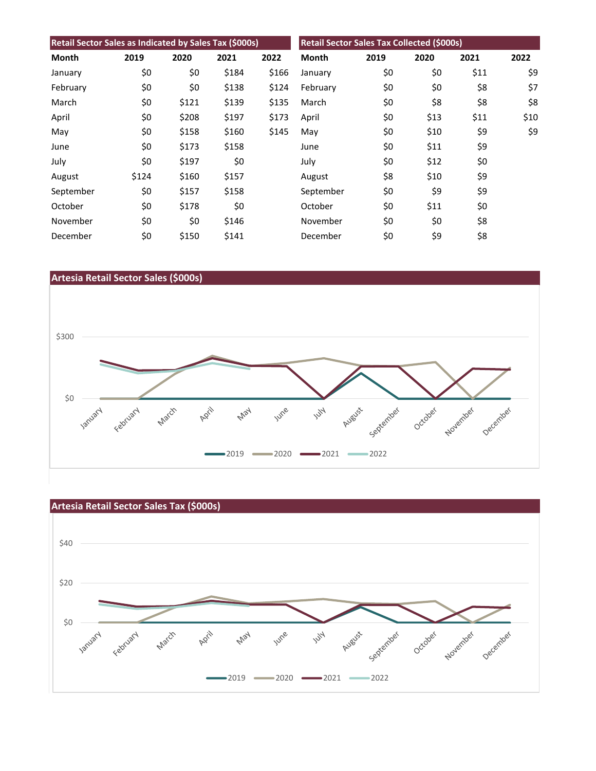| Retail Sector Sales as Indicated by Sales Tax (\$000s) |       |       |       |       | Retail Sector Sales Tax Collected (\$000s) |      |      |      |      |
|--------------------------------------------------------|-------|-------|-------|-------|--------------------------------------------|------|------|------|------|
| Month                                                  | 2019  | 2020  | 2021  | 2022  | Month                                      | 2019 | 2020 | 2021 | 2022 |
| January                                                | \$0   | \$0   | \$184 | \$166 | January                                    | \$0  | \$0  | \$11 | \$9  |
| February                                               | \$0   | \$0   | \$138 | \$124 | February                                   | \$0  | \$0  | \$8  | \$7  |
| March                                                  | \$0   | \$121 | \$139 | \$135 | March                                      | \$0  | \$8  | \$8  | \$8  |
| April                                                  | \$0   | \$208 | \$197 | \$173 | April                                      | \$0  | \$13 | \$11 | \$10 |
| May                                                    | \$0   | \$158 | \$160 | \$145 | May                                        | \$0  | \$10 | \$9  | \$9  |
| June                                                   | \$0   | \$173 | \$158 |       | June                                       | \$0  | \$11 | \$9  |      |
| July                                                   | \$0   | \$197 | \$0   |       | July                                       | \$0  | \$12 | \$0  |      |
| August                                                 | \$124 | \$160 | \$157 |       | August                                     | \$8  | \$10 | \$9  |      |
| September                                              | \$0   | \$157 | \$158 |       | September                                  | \$0  | \$9  | \$9  |      |
| October                                                | \$0   | \$178 | \$0   |       | October                                    | \$0  | \$11 | \$0  |      |
| November                                               | \$0   | \$0   | \$146 |       | November                                   | \$0  | \$0  | \$8  |      |
| December                                               | \$0   | \$150 | \$141 |       | December                                   | \$0  | \$9  | \$8  |      |



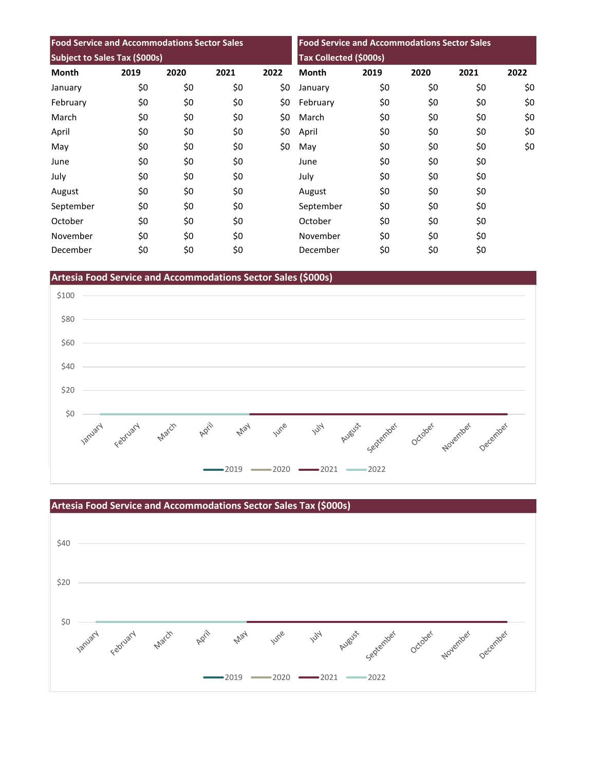| <b>Food Service and Accommodations Sector Sales</b> |      |      |      | <b>Food Service and Accommodations Sector Sales</b><br><b>Tax Collected (\$000s)</b> |              |      |      |      |      |
|-----------------------------------------------------|------|------|------|--------------------------------------------------------------------------------------|--------------|------|------|------|------|
| Subject to Sales Tax (\$000s)                       |      |      |      |                                                                                      |              |      |      |      |      |
| <b>Month</b>                                        | 2019 | 2020 | 2021 | 2022                                                                                 | <b>Month</b> | 2019 | 2020 | 2021 | 2022 |
| January                                             | \$0  | \$0  | \$0  | \$0                                                                                  | January      | \$0  | \$0  | \$0  | \$0  |
| February                                            | \$0  | \$0  | \$0  | \$0                                                                                  | February     | \$0  | \$0  | \$0  | \$0  |
| March                                               | \$0  | \$0  | \$0  | \$0                                                                                  | March        | \$0  | \$0  | \$0  | \$0  |
| April                                               | \$0  | \$0  | \$0  | \$0                                                                                  | April        | \$0  | \$0  | \$0  | \$0  |
| May                                                 | \$0  | \$0  | \$0  | \$0                                                                                  | May          | \$0  | \$0  | \$0  | \$0  |
| June                                                | \$0  | \$0  | \$0  |                                                                                      | June         | \$0  | \$0  | \$0  |      |
| July                                                | \$0  | \$0  | \$0  |                                                                                      | July         | \$0  | \$0  | \$0  |      |
| August                                              | \$0  | \$0  | \$0  |                                                                                      | August       | \$0  | \$0  | \$0  |      |
| September                                           | \$0  | \$0  | \$0  |                                                                                      | September    | \$0  | \$0  | \$0  |      |
| October                                             | \$0  | \$0  | \$0  |                                                                                      | October      | \$0  | \$0  | \$0  |      |
| November                                            | \$0  | \$0  | \$0  |                                                                                      | November     | \$0  | \$0  | \$0  |      |
| December                                            | \$0  | \$0  | \$0  |                                                                                      | December     | \$0  | \$0  | \$0  |      |

**Artesia Food Service and Accommodations Sector Sales (\$000s)**



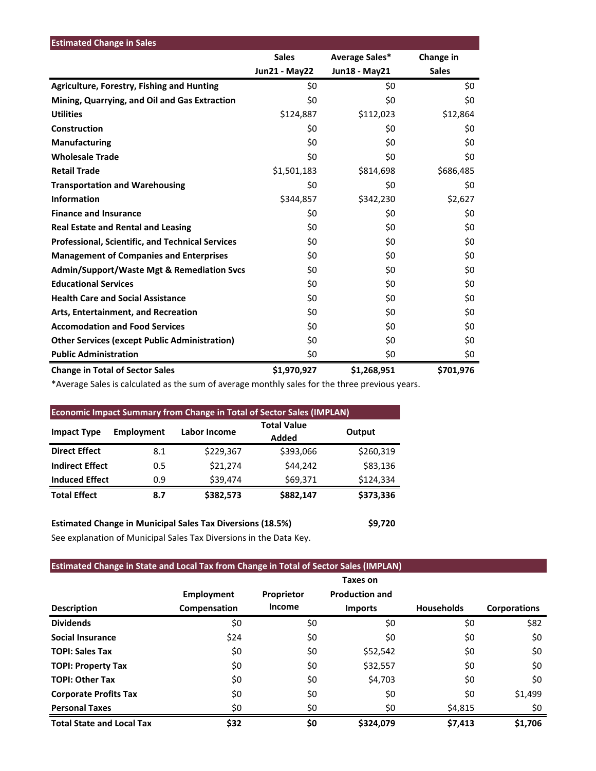| <b>Estimated Change in Sales</b>                        |                      |                |              |
|---------------------------------------------------------|----------------------|----------------|--------------|
|                                                         | <b>Sales</b>         | Average Sales* | Change in    |
|                                                         | <b>Jun21 - May22</b> | Jun18 - May21  | <b>Sales</b> |
| <b>Agriculture, Forestry, Fishing and Hunting</b>       | \$0                  | \$0            | \$0          |
| Mining, Quarrying, and Oil and Gas Extraction           | \$0                  | \$0            | \$0          |
| <b>Utilities</b>                                        | \$124,887            | \$112,023      | \$12,864     |
| Construction                                            | \$0                  | \$0            | \$0          |
| <b>Manufacturing</b>                                    | \$0                  | \$0            | \$0          |
| <b>Wholesale Trade</b>                                  | \$0                  | \$0            | \$0          |
| <b>Retail Trade</b>                                     | \$1,501,183          | \$814,698      | \$686,485    |
| <b>Transportation and Warehousing</b>                   | \$0                  | \$0            | \$0          |
| <b>Information</b>                                      | \$344,857            | \$342,230      | \$2,627      |
| <b>Finance and Insurance</b>                            | \$0                  | \$0            | \$0          |
| <b>Real Estate and Rental and Leasing</b>               | \$0                  | \$0            | \$0          |
| <b>Professional, Scientific, and Technical Services</b> | \$0                  | \$0            | \$0          |
| <b>Management of Companies and Enterprises</b>          | \$0                  | \$0            | \$0          |
| <b>Admin/Support/Waste Mgt &amp; Remediation Svcs</b>   | \$0                  | \$0            | \$0          |
| <b>Educational Services</b>                             | \$0                  | \$0            | \$0          |
| <b>Health Care and Social Assistance</b>                | \$0                  | \$0            | \$0          |
| Arts, Entertainment, and Recreation                     | \$0                  | \$0            | \$0          |
| <b>Accomodation and Food Services</b>                   | \$0                  | \$0            | \$0          |
| <b>Other Services (except Public Administration)</b>    | \$0                  | \$0            | \$0          |
| <b>Public Administration</b>                            | \$0                  | \$0            | \$0          |
| <b>Change in Total of Sector Sales</b>                  | \$1,970,927          | \$1,268,951    | \$701,976    |

\*Average Sales is calculated as the sum of average monthly sales for the three previous years.

| <b>Economic Impact Summary from Change in Total of Sector Sales (IMPLAN)</b> |                   |              |                             |           |  |  |  |  |
|------------------------------------------------------------------------------|-------------------|--------------|-----------------------------|-----------|--|--|--|--|
| <b>Impact Type</b>                                                           | <b>Employment</b> | Labor Income | <b>Total Value</b><br>Added | Output    |  |  |  |  |
| <b>Direct Effect</b>                                                         | 8.1               | \$229,367    | \$393,066                   | \$260,319 |  |  |  |  |
| <b>Indirect Effect</b>                                                       | 0.5               | \$21,274     | \$44,242                    | \$83,136  |  |  |  |  |
| <b>Induced Effect</b>                                                        | 0.9               | \$39,474     | \$69,371                    | \$124,334 |  |  |  |  |
| <b>Total Effect</b>                                                          | 8.7               | \$382,573    | \$882,147                   | \$373,336 |  |  |  |  |

**Estimated Change in Municipal Sales Tax Diversions (18.5%) \$9,720** See explanation of Municipal Sales Tax Diversions in the Data Key.

## **Estimated Change in State and Local Tax from Change in Total of Sector Sales (IMPLAN)**

|                                  |                   |            | Taxes on              |                   |                     |
|----------------------------------|-------------------|------------|-----------------------|-------------------|---------------------|
|                                  | <b>Employment</b> | Proprietor | <b>Production and</b> |                   |                     |
| <b>Description</b>               | Compensation      | Income     | <b>Imports</b>        | <b>Households</b> | <b>Corporations</b> |
| <b>Dividends</b>                 | \$0               | \$0        | \$0                   | \$0               | \$82                |
| <b>Social Insurance</b>          | \$24              | \$0        | \$0                   | \$0               | \$0                 |
| <b>TOPI: Sales Tax</b>           | \$0               | \$0        | \$52,542              | \$0               | \$0                 |
| <b>TOPI: Property Tax</b>        | \$0               | \$0        | \$32,557              | \$0               | \$0                 |
| <b>TOPI: Other Tax</b>           | \$0               | \$0        | \$4,703               | \$0               | \$0                 |
| <b>Corporate Profits Tax</b>     | \$0               | \$0        | \$0                   | \$0               | \$1,499             |
| <b>Personal Taxes</b>            | \$0               | \$0        | \$0                   | \$4,815           | \$0                 |
| <b>Total State and Local Tax</b> | \$32              | \$0        | \$324,079             | \$7,413           | \$1.706             |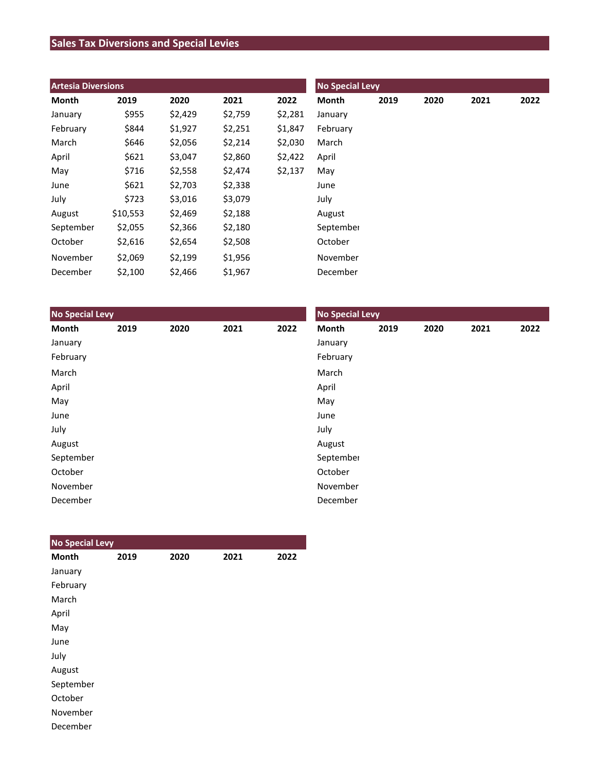## **Sales Tax Diversions and Special Levies**

| <b>Artesia Diversions</b> |          |         |         |         | <b>No Special Levy</b> |      |      |      |      |  |
|---------------------------|----------|---------|---------|---------|------------------------|------|------|------|------|--|
| Month                     | 2019     | 2020    | 2021    | 2022    | Month                  | 2019 | 2020 | 2021 | 2022 |  |
| January                   | \$955    | \$2,429 | \$2,759 | \$2,281 | January                |      |      |      |      |  |
| February                  | \$844    | \$1,927 | \$2,251 | \$1,847 | February               |      |      |      |      |  |
| March                     | \$646    | \$2,056 | \$2,214 | \$2,030 | March                  |      |      |      |      |  |
| April                     | \$621    | \$3,047 | \$2,860 | \$2,422 | April                  |      |      |      |      |  |
| May                       | \$716    | \$2,558 | \$2,474 | \$2,137 | May                    |      |      |      |      |  |
| June                      | \$621    | \$2,703 | \$2,338 |         | June                   |      |      |      |      |  |
| July                      | \$723    | \$3,016 | \$3,079 |         | July                   |      |      |      |      |  |
| August                    | \$10,553 | \$2,469 | \$2,188 |         | August                 |      |      |      |      |  |
| September                 | \$2,055  | \$2,366 | \$2,180 |         | September              |      |      |      |      |  |
| October                   | \$2,616  | \$2,654 | \$2,508 |         | October                |      |      |      |      |  |
| November                  | \$2,069  | \$2,199 | \$1,956 |         | November               |      |      |      |      |  |
| December                  | \$2,100  | \$2,466 | \$1,967 |         | December               |      |      |      |      |  |

| <b>No Special Levy</b> |      |      |      |      | <b>No Special Levy</b> |      |      |      |      |  |
|------------------------|------|------|------|------|------------------------|------|------|------|------|--|
| Month                  | 2019 | 2020 | 2021 | 2022 | Month                  | 2019 | 2020 | 2021 | 2022 |  |
| January                |      |      |      |      | January                |      |      |      |      |  |
| February               |      |      |      |      | February               |      |      |      |      |  |
| March                  |      |      |      |      | March                  |      |      |      |      |  |
| April                  |      |      |      |      | April                  |      |      |      |      |  |
| May                    |      |      |      |      | May                    |      |      |      |      |  |
| June                   |      |      |      |      | June                   |      |      |      |      |  |
| July                   |      |      |      |      | July                   |      |      |      |      |  |
| August                 |      |      |      |      | August                 |      |      |      |      |  |
| September              |      |      |      |      | September              |      |      |      |      |  |
| October                |      |      |      |      | October                |      |      |      |      |  |
| November               |      |      |      |      | November               |      |      |      |      |  |
| December               |      |      |      |      | December               |      |      |      |      |  |

| <b>No Special Levy</b> |      |      |      |      |
|------------------------|------|------|------|------|
| <b>Month</b>           | 2019 | 2020 | 2021 | 2022 |
| January                |      |      |      |      |
| February               |      |      |      |      |
| March                  |      |      |      |      |
| April                  |      |      |      |      |
| May                    |      |      |      |      |
| June                   |      |      |      |      |
| July                   |      |      |      |      |
| August                 |      |      |      |      |
| September              |      |      |      |      |
| October                |      |      |      |      |
| November               |      |      |      |      |
| December               |      |      |      |      |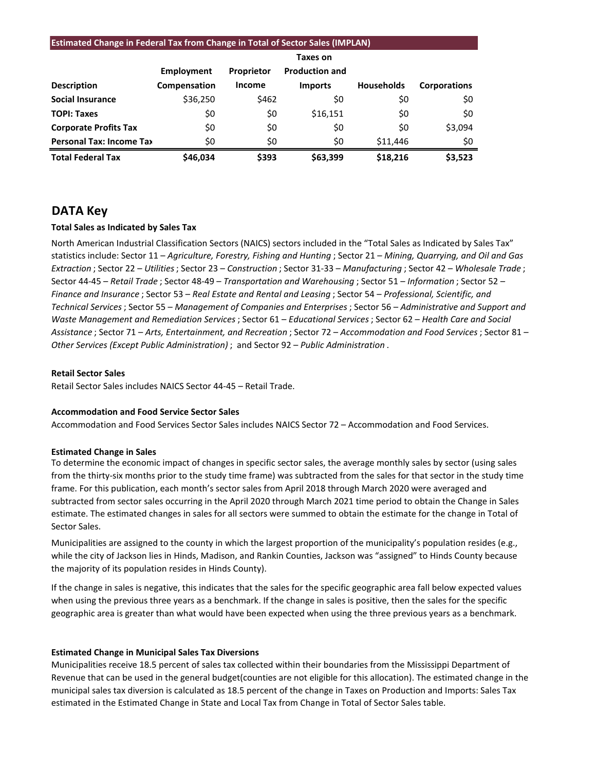#### **Estimated Change in Federal Tax from Change in Total of Sector Sales (IMPLAN)**

|                                 |              |                   | Taxes on              |                   |                     |
|---------------------------------|--------------|-------------------|-----------------------|-------------------|---------------------|
|                                 | Employment   | <b>Proprietor</b> | <b>Production and</b> |                   |                     |
| <b>Description</b>              | Compensation | <b>Income</b>     | <b>Imports</b>        | <b>Households</b> | <b>Corporations</b> |
| <b>Social Insurance</b>         | \$36,250     | \$462             | \$0                   | \$0               | \$0                 |
| <b>TOPI: Taxes</b>              | \$0          | \$0               | \$16,151              | \$0               | \$0                 |
| <b>Corporate Profits Tax</b>    | \$0          | \$0               | \$0                   | \$0               | \$3,094             |
| <b>Personal Tax: Income Tax</b> | \$0          | \$0               | \$0                   | \$11,446          | \$0                 |
| <b>Total Federal Tax</b>        | \$46.034     | \$393             | \$63,399              | \$18,216          | \$3,523             |

## **DATA Key**

### **Total Sales as Indicated by Sales Tax**

North American Industrial Classification Sectors (NAICS) sectors included in the "Total Sales as Indicated by Sales Tax" statistics include: Sector 11 – *Agriculture, Forestry, Fishing and Hunting* ; Sector 21 – *Mining, Quarrying, and Oil and Gas Extraction* ; Sector 22 – *Utilities*; Sector 23 – *Construction* ; Sector 31-33 – *Manufacturing* ; Sector 42 – *Wholesale Trade* ; Sector 44-45 – *Retail Trade* ; Sector 48-49 – *Transportation and Warehousing* ; Sector 51 – *Information* ; Sector 52 – *Finance and Insurance* ; Sector 53 – *Real Estate and Rental and Leasing* ; Sector 54 – *Professional, Scientific, and Technical Services*; Sector 55 – *Management of Companies and Enterprises* ; Sector 56 – *Administrative and Support and Waste Management and Remediation Services* ; Sector 61 – *Educational Services*; Sector 62 – *Health Care and Social Assistance* ; Sector 71 – *Arts, Entertainment, and Recreation* ; Sector 72 – *Accommodation and Food Services* ; Sector 81 – *Other Services (Except Public Administration)* ; and Sector 92 – *Public Administration* .

#### **Retail Sector Sales**

Retail Sector Sales includes NAICS Sector 44-45 – Retail Trade.

### **Accommodation and Food Service Sector Sales**

Accommodation and Food Services Sector Sales includes NAICS Sector 72 – Accommodation and Food Services.

#### **Estimated Change in Sales**

To determine the economic impact of changes in specific sector sales, the average monthly sales by sector (using sales from the thirty-six months prior to the study time frame) was subtracted from the sales for that sector in the study time frame. For this publication, each month's sector sales from April 2018 through March 2020 were averaged and subtracted from sector sales occurring in the April 2020 through March 2021 time period to obtain the Change in Sales estimate. The estimated changes in sales for all sectors were summed to obtain the estimate for the change in Total of Sector Sales.

Municipalities are assigned to the county in which the largest proportion of the municipality's population resides (e.g., while the city of Jackson lies in Hinds, Madison, and Rankin Counties, Jackson was "assigned" to Hinds County because the majority of its population resides in Hinds County).

If the change in sales is negative, this indicates that the sales for the specific geographic area fall below expected values when using the previous three years as a benchmark. If the change in sales is positive, then the sales for the specific geographic area is greater than what would have been expected when using the three previous years as a benchmark.

#### **Estimated Change in Municipal Sales Tax Diversions**

Municipalities receive 18.5 percent of sales tax collected within their boundaries from the Mississippi Department of Revenue that can be used in the general budget(counties are not eligible for this allocation). The estimated change in the municipal sales tax diversion is calculated as 18.5 percent of the change in Taxes on Production and Imports: Sales Tax estimated in the Estimated Change in State and Local Tax from Change in Total of Sector Sales table.